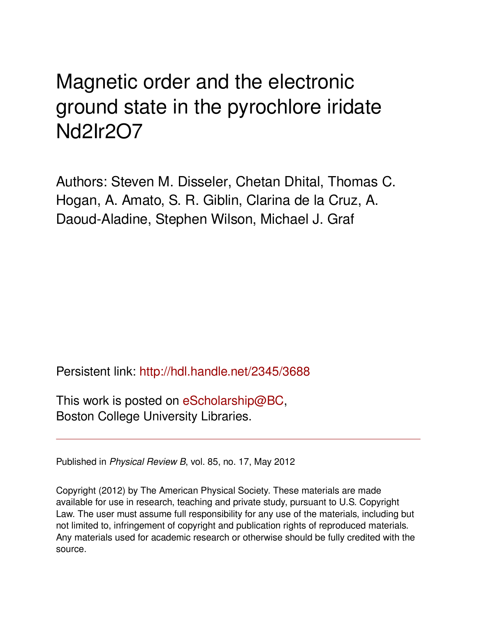## Magnetic order and the electronic ground state in the pyrochlore iridate Nd2Ir2O7

Authors: Steven M. Disseler, Chetan Dhital, Thomas C. Hogan, A. Amato, S. R. Giblin, Clarina de la Cruz, A. Daoud-Aladine, Stephen Wilson, Michael J. Graf

Persistent link: <http://hdl.handle.net/2345/3688>

This work is posted on [eScholarship@BC](http://escholarship.bc.edu), Boston College University Libraries.

Published in *Physical Review B*, vol. 85, no. 17, May 2012

Copyright (2012) by The American Physical Society. These materials are made available for use in research, teaching and private study, pursuant to U.S. Copyright Law. The user must assume full responsibility for any use of the materials, including but not limited to, infringement of copyright and publication rights of reproduced materials. Any materials used for academic research or otherwise should be fully credited with the source.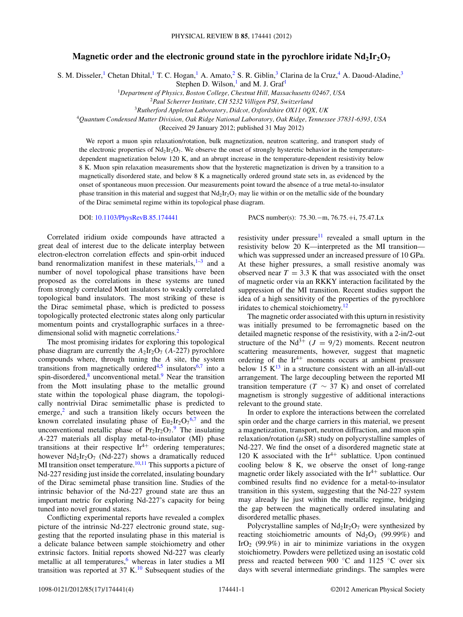## **Magnetic order and the electronic ground state in the pyrochlore iridate**  $Nd_2Ir_2O_7$

S. M. Disseler,<sup>1</sup> Chetan Dhital,<sup>1</sup> T. C. Hogan,<sup>1</sup> A. Amato,<sup>2</sup> S. R. Giblin,<sup>3</sup> Clarina de la Cruz,<sup>4</sup> A. Daoud-Aladine,<sup>3</sup>

Stephen D. Wilson, $<sup>1</sup>$  and M. J. Graf<sup>1</sup></sup>

<sup>1</sup>*Department of Physics, Boston College, Chestnut Hill, Massachusetts 02467, USA*

<sup>3</sup>*Rutherford Appleton Laboratory, Didcot, Oxfordshire OX11 0QX, UK*

<sup>4</sup>*Quantum Condensed Matter Division, Oak Ridge National Laboratory, Oak Ridge, Tennessee 37831-6393, USA*

(Received 29 January 2012; published 31 May 2012)

We report a muon spin relaxation/rotation, bulk magnetization, neutron scattering, and transport study of the electronic properties of  $Nd_2Ir_2O_7$ . We observe the onset of strongly hysteretic behavior in the temperaturedependent magnetization below 120 K, and an abrupt increase in the temperature-dependent resistivity below 8 K. Muon spin relaxation measurements show that the hysteretic magnetization is driven by a transition to a magnetically disordered state, and below 8 K a magnetically ordered ground state sets in, as evidenced by the onset of spontaneous muon precession. Our measurements point toward the absence of a true metal-to-insulator phase transition in this material and suggest that  $Nd_2Ir_2O_7$  may lie within or on the metallic side of the boundary of the Dirac semimetal regime within its topological phase diagram.

DOI: [10.1103/PhysRevB.85.174441](http://dx.doi.org/10.1103/PhysRevB.85.174441) PACS number(s): 75*.*30*.*−m, 76*.*75*.*+i, 75*.*47*.*Lx

Correlated iridium oxide compounds have attracted a great deal of interest due to the delicate interplay between electron-electron correlation effects and spin-orbit induced band renormalization manifest in these materials, $1-3$  and a number of novel topological phase transitions have been proposed as the correlations in these systems are tuned from strongly correlated Mott insulators to weakly correlated topological band insulators. The most striking of these is the Dirac semimetal phase, which is predicted to possess topologically protected electronic states along only particular momentum points and crystallographic surfaces in a three-dimensional solid with magnetic correlations.<sup>[2](#page-4-0)</sup>

The most promising iridates for exploring this topological phase diagram are currently the  $A_2Ir_2O_7$  (*A*-227) pyrochlore compounds where, through tuning the *A* site, the system transitions from magnetically ordered<sup>4,5</sup> insulators<sup>[6,7](#page-4-0)</sup> into a spin-disordered, $8$  unconventional metal. $9$  Near the transition from the Mott insulating phase to the metallic ground state within the topological phase diagram, the topologically nontrivial Dirac semimetallic phase is predicted to emerge, $<sup>2</sup>$  $<sup>2</sup>$  $<sup>2</sup>$  and such a transition likely occurs between the</sup> known correlated insulating phase of  $Eu_2Ir_2O_7^{6,7}$  $Eu_2Ir_2O_7^{6,7}$  $Eu_2Ir_2O_7^{6,7}$  and the unconventional metallic phase of  $Pr_2Ir_2O_7$ . The insulating *A*-227 materials all display metal-to-insulator (MI) phase transitions at their respective  $Ir^{4+}$  ordering temperatures; however  $Nd<sub>2</sub>Ir<sub>2</sub>O<sub>7</sub>$  (Nd-227) shows a dramatically reduced MI transition onset temperature.<sup>[10,11](#page-4-0)</sup> This supports a picture of Nd-227 residing just inside the correlated, insulating boundary of the Dirac semimetal phase transition line. Studies of the intrinsic behavior of the Nd-227 ground state are thus an important metric for exploring Nd-227's capacity for being tuned into novel ground states.

Conflicting experimental reports have revealed a complex picture of the intrinsic Nd-227 electronic ground state, suggesting that the reported insulating phase in this material is a delicate balance between sample stoichiometry and other extrinsic factors. Initial reports showed Nd-227 was clearly metallic at all temperatures, $6$  whereas in later studies a MI transition was reported at 37 K.<sup>[10](#page-4-0)</sup> Subsequent studies of the resistivity under pressure<sup>11</sup> revealed a small upturn in the resistivity below 20 K—interpreted as the MI transition which was suppressed under an increased pressure of 10 GPa. At these higher pressures, a small resistive anomaly was observed near  $T = 3.3$  K that was associated with the onset of magnetic order via an RKKY interaction facilitated by the suppression of the MI transition. Recent studies support the idea of a high sensitivity of the properties of the pyrochlore iridates to chemical stoichiometry.[12](#page-4-0)

The magnetic order associated with this upturn in resistivity was initially presumed to be ferromagnetic based on the detailed magnetic response of the resistivity, with a 2-in/2-out structure of the Nd<sup>3+</sup> ( $J = 9/2$ ) moments. Recent neutron scattering measurements, however, suggest that magnetic ordering of the  $Ir^{4+}$  moments occurs at ambient pressure below 15  $K^{13}$  in a structure consistent with an all-in/all-out arrangement. The large decoupling between the reported MI transition temperature ( $T \sim 37$  K) and onset of correlated magnetism is strongly suggestive of additional interactions relevant to the ground state.

In order to explore the interactions between the correlated spin order and the charge carriers in this material, we present a magnetization, transport, neutron diffraction, and muon spin relaxation/rotation (*μ*SR) study on polycrystalline samples of Nd-227. We find the onset of a disordered magnetic state at 120 K associated with the  $Ir^{4+}$  sublattice. Upon continued cooling below 8 K, we observe the onset of long-range magnetic order likely associated with the  $Ir^{4+}$  sublattice. Our combined results find no evidence for a metal-to-insulator transition in this system, suggesting that the Nd-227 system may already lie just within the metallic regime, bridging the gap between the magnetically ordered insulating and disordered metallic phases.

Polycrystalline samples of  $Nd_2Ir_2O_7$  were synthesized by reacting stoichiometric amounts of  $Nd_2O_3$  (99.99%) and IrO<sub>2</sub> (99.9%) in air to minimize variations in the oxygen stoichiometry. Powders were pelletized using an isostatic cold press and reacted between 900 ◦C and 1125 ◦C over six days with several intermediate grindings. The samples were

<sup>2</sup>*Paul Scherrer Institute, CH 5232 Villigen PSI, Switzerland*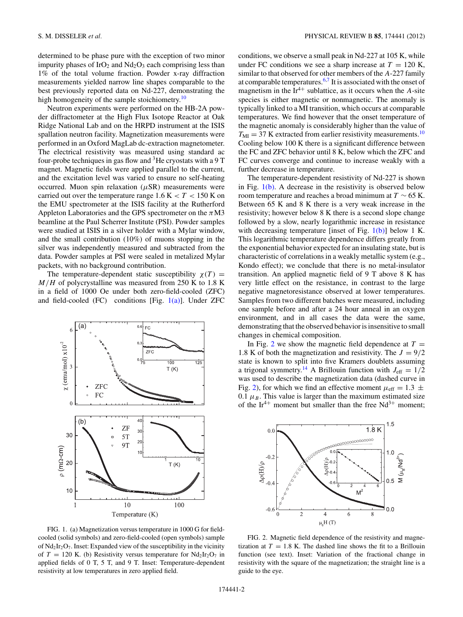<span id="page-2-0"></span>determined to be phase pure with the exception of two minor impurity phases of  $IrO<sub>2</sub>$  and  $Nd<sub>2</sub>O<sub>3</sub>$  each comprising less than 1% of the total volume fraction. Powder x-ray diffraction measurements yielded narrow line shapes comparable to the best previously reported data on Nd-227, demonstrating the high homogeneity of the sample stoichiometry.<sup>[10](#page-4-0)</sup>

Neutron experiments were performed on the HB-2A powder diffractometer at the High Flux Isotope Reactor at Oak Ridge National Lab and on the HRPD instrument at the ISIS spallation neutron facility. Magnetization measurements were performed in an Oxford MagLab dc-extraction magnetometer. The electrical resistivity was measured using standard ac four-probe techniques in gas flow and  ${}^{3}$ He cryostats with a 9 T magnet. Magnetic fields were applied parallel to the current, and the excitation level was varied to ensure no self-heating occurred. Muon spin relaxation  $(\mu SR)$  measurements were carried out over the temperature range 1.6 K *<T <* 150 K on the EMU spectrometer at the ISIS facility at the Rutherford Appleton Laboratories and the GPS spectrometer on the *π*M3 beamline at the Paul Scherrer Institute (PSI). Powder samples were studied at ISIS in a silver holder with a Mylar window, and the small contribution (10%) of muons stopping in the silver was independently measured and subtracted from the data. Powder samples at PSI were sealed in metalized Mylar packets, with no background contribution.

The temperature-dependent static susceptibility  $\chi(T)$  = *M/H* of polycrystalline was measured from 250 K to 1.8 K in a field of 1000 Oe under both zero-field-cooled (ZFC) and field-cooled (FC) conditions [Fig.  $1(a)$ ]. Under ZFC



FIG. 1. (a) Magnetization versus temperature in 1000 G for fieldcooled (solid symbols) and zero-field-cooled (open symbols) sample of  $Nd_2Ir_2O_7$ . Inset: Expanded view of the susceptibility in the vicinity of  $T = 120$  K. (b) Resistivity versus temperature for  $Nd_2Ir_2O_7$  in applied fields of 0 T, 5 T, and 9 T. Inset: Temperature-dependent resistivity at low temperatures in zero applied field.

conditions, we observe a small peak in Nd-227 at 105 K, while under FC conditions we see a sharp increase at  $T = 120$  K, similar to that observed for other members of the *A*-227 family at comparable temperatures.[6,7](#page-4-0) It is associated with the onset of magnetism in the  $Ir^{4+}$  sublattice, as it occurs when the *A*-site species is either magnetic or nonmagnetic. The anomaly is typically linked to a MI transition, which occurs at comparable temperatures. We find however that the onset temperature of the magnetic anomaly is considerably higher than the value of  $T_{\text{MI}} = 37$  K extracted from earlier resistivity measurements.<sup>[10](#page-4-0)</sup> Cooling below 100 K there is a significant difference between the FC and ZFC behavior until 8 K, below which the ZFC and FC curves converge and continue to increase weakly with a further decrease in temperature.

The temperature-dependent resistivity of Nd-227 is shown in Fig.  $1(b)$ . A decrease in the resistivity is observed below room temperature and reaches a broad minimum at *T* ∼ 65 K. Between 65 K and 8 K there is a very weak increase in the resistivity; however below 8 K there is a second slope change followed by a slow, nearly logarithmic increase in resistance with decreasing temperature [inset of Fig.  $1(b)$ ] below 1 K. This logarithmic temperature dependence differs greatly from the exponential behavior expected for an insulating state, but is characteristic of correlations in a weakly metallic system (e.g., Kondo effect); we conclude that there is no metal-insulator transition. An applied magnetic field of 9 T above 8 K has very little effect on the resistance, in contrast to the large negative magnetoresistance observed at lower temperatures. Samples from two different batches were measured, including one sample before and after a 24 hour anneal in an oxygen environment, and in all cases the data were the same, demonstrating that the observed behavior is insensitive to small changes in chemical composition.

In Fig. 2 we show the magnetic field dependence at  $T =$ 1.8 K of both the magnetization and resistivity. The  $J = 9/2$ state is known to split into five Kramers doublets assuming a trigonal symmetry.<sup>14</sup> A Brillouin function with  $J_{\text{eff}} = 1/\overline{2}$ was used to describe the magnetization data (dashed curve in Fig. 2), for which we find an effective moment  $\mu_{\text{eff}} = 1.3 \pm 1.3$ 0.1  $\mu_B$ . This value is larger than the maximum estimated size of the Ir<sup>4+</sup> moment but smaller than the free  $Nd^{3+}$  moment;



FIG. 2. Magnetic field dependence of the resistivity and magnetization at  $T = 1.8$  K. The dashed line shows the fit to a Brillouin function (see text). Inset: Variation of the fractional change in resistivity with the square of the magnetization; the straight line is a guide to the eye.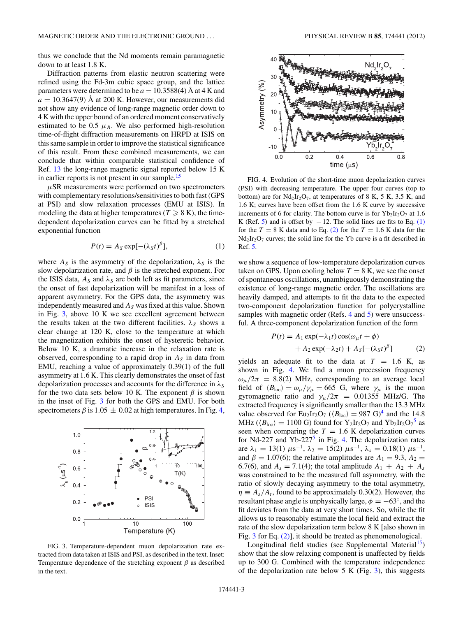<span id="page-3-0"></span>thus we conclude that the Nd moments remain paramagnetic down to at least 1.8 K.

Diffraction patterns from elastic neutron scattering were refined using the Fd-3m cubic space group, and the lattice parameters were determined to be  $a = 10.3588(4)$  Å at 4 K and  $a = 10.3647(9)$  Å at 200 K. However, our measurements did not show any evidence of long-range magnetic order down to 4 K with the upper bound of an ordered moment conservatively estimated to be 0.5  $\mu_B$ . We also performed high-resolution time-of-flight diffraction measurements on HRPD at ISIS on this same sample in order to improve the statistical significance of this result. From these combined measurements, we can conclude that within comparable statistical confidence of Ref. [13](#page-4-0) the long-range magnetic signal reported below 15 K in earlier reports is not present in our sample.<sup>15</sup>

 $\mu$ SR measurements were performed on two spectrometers with complementary resolutions/sensitivities to both fast (GPS at PSI) and slow relaxation processes (EMU at ISIS). In modeling the data at higher temperatures ( $T \ge 8$  K), the timedependent depolarization curves can be fitted by a stretched exponential function

$$
P(t) = A_S \exp[-(\lambda_S t)^{\beta}], \tag{1}
$$

where  $A_S$  is the asymmetry of the depolarization,  $\lambda_S$  is the slow depolarization rate, and  $\beta$  is the stretched exponent. For the ISIS data,  $A_S$  and  $\lambda_S$  are both left as fit parameters, since the onset of fast depolarization will be manifest in a loss of apparent asymmetry. For the GPS data, the asymmetry was independently measured and  $A<sub>S</sub>$  was fixed at this value. Shown in Fig. 3, above 10 K we see excellent agreement between the results taken at the two different facilities.  $\lambda_S$  shows a clear change at 120 K, close to the temperature at which the magnetization exhibits the onset of hysteretic behavior. Below 10 K, a dramatic increase in the relaxation rate is observed, corresponding to a rapid drop in  $A<sub>S</sub>$  in data from EMU, reaching a value of approximately 0.39(1) of the full asymmetry at 1.6 K. This clearly demonstrates the onset of fast depolarization processes and accounts for the difference in  $\lambda_S$ for the two data sets below 10 K. The exponent *β* is shown in the inset of Fig. 3 for both the GPS and EMU. For both spectrometers  $\beta$  is 1.05  $\pm$  0.02 at high temperatures. In Fig. 4,



FIG. 3. Temperature-dependent muon depolarization rate extracted from data taken at ISIS and PSI, as described in the text. Inset: Temperature dependence of the stretching exponent *β* as described in the text.



FIG. 4. Evolution of the short-time muon depolarization curves (PSI) with decreasing temperature. The upper four curves (top to bottom) are for  $Nd_2Ir_2O_7$ , at temperatures of 8 K, 5 K, 3.5 K, and 1.6 K; curves have been offset from the 1.6 K curve by successive increments of 6 for clarity. The bottom curve is for  $Yb_2Ir_2O_7$  at 1.6 K (Ref. [5\)](#page-4-0) and is offset by  $-12$ . The solid lines are fits to Eq. (1) for the  $T = 8$  K data and to Eq. (2) for the  $T = 1.6$  K data for the  $Nd<sub>2</sub>Ir<sub>2</sub>O<sub>7</sub>$  curves; the solid line for the Yb curve is a fit described in Ref. [5.](#page-4-0)

we show a sequence of low-temperature depolarization curves taken on GPS. Upon cooling below  $T = 8$  K, we see the onset of spontaneous oscillations, unambiguously demonstrating the existence of long-range magnetic order. The oscillations are heavily damped, and attempts to fit the data to the expected two-component depolarization function for polycrystalline samples with magnetic order (Refs. [4](#page-4-0) and [5\)](#page-4-0) were unsuccessful. A three-component depolarization function of the form

$$
P(t) = A_1 \exp(-\lambda_1 t) \cos(\omega_\mu t + \phi)
$$
  
+ 
$$
A_2 \exp(-\lambda_2 t) + A_3[-(\lambda_3 t)^\beta]
$$
 (2)

yields an adequate fit to the data at  $T = 1.6$  K, as shown in Fig. 4. We find a muon precession frequency  $\omega_{\mu}/2\pi$  = 8.8(2) MHz, corresponding to an average local field of  $\langle B_{\text{loc}} \rangle = \omega_{\mu}/\gamma_{\mu} = 665 \text{ G}$ , where  $\gamma_{\mu}$  is the muon gyromagnetic ratio and  $\gamma_{\mu}/2\pi$  = 0.01355 MHz/G. The extracted frequency is significantly smaller than the 13.3 MHz value observed for Eu<sub>2</sub>Ir<sub>2</sub>O<sub>7</sub> ( $\langle B_{\text{loc}} \rangle = 987 \text{ G}^4$  $\langle B_{\text{loc}} \rangle = 987 \text{ G}^4$  and the 14.8 MHz ( $\langle B_{\text{loc}} \rangle = 1100 \text{ G}$ ) found for Y<sub>2</sub>Ir<sub>2</sub>O<sub>7</sub> and Yb<sub>2</sub>Ir<sub>2</sub>O<sub>7</sub><sup>[5](#page-4-0)</sup> as seen when comparing the  $T = 1.6$  K depolarization curves for Nd-227 and Yb-227<sup>[5](#page-4-0)</sup> in Fig. 4. The depolarization rates are  $\lambda_1 = 13(1) \ \mu s^{-1}$ ,  $\lambda_2 = 15(2) \ \mu s^{-1}$ ,  $\lambda_s = 0.18(1) \ \mu s^{-1}$ , and  $\beta = 1.07(6)$ ; the relative amplitudes are  $A_1 = 9.3$ ,  $A_2 =$ 6.7(6), and  $A_s = 7.1(4)$ ; the total amplitude  $A_1 + A_2 + A_s$ was constrained to be the measured full asymmetry, with the ratio of slowly decaying asymmetry to the total asymmetry,  $\eta \equiv A_s/A_t$ , found to be approximately 0.30(2). However, the resultant phase angle is unphysically large,  $\phi = -63^\circ$ , and the fit deviates from the data at very short times. So, while the fit allows us to reasonably estimate the local field and extract the rate of the slow depolarization term below 8 K [also shown in Fig. 3 for Eq. (2)], it should be treated as phenomenological.

Longitudinal field studies (see Supplemental Material<sup>15</sup>) show that the slow relaxing component is unaffected by fields up to 300 G. Combined with the temperature independence of the depolarization rate below  $5 K$  (Fig. 3), this suggests